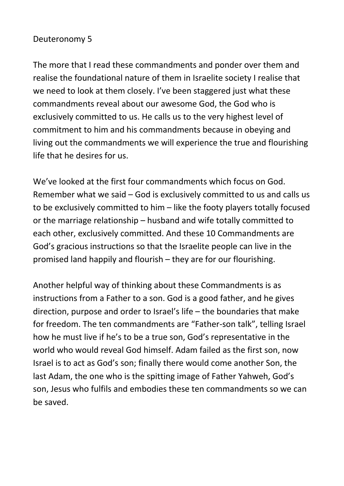## Deuteronomy 5

The more that I read these commandments and ponder over them and realise the foundational nature of them in Israelite society I realise that we need to look at them closely. I've been staggered just what these commandments reveal about our awesome God, the God who is exclusively committed to us. He calls us to the very highest level of commitment to him and his commandments because in obeying and living out the commandments we will experience the true and flourishing life that he desires for us.

We've looked at the first four commandments which focus on God. Remember what we said – God is exclusively committed to us and calls us to be exclusively committed to him – like the footy players totally focused or the marriage relationship – husband and wife totally committed to each other, exclusively committed. And these 10 Commandments are God's gracious instructions so that the Israelite people can live in the promised land happily and flourish – they are for our flourishing.

Another helpful way of thinking about these Commandments is as instructions from a Father to a son. God is a good father, and he gives direction, purpose and order to Israel's life – the boundaries that make for freedom. The ten commandments are "Father-son talk", telling Israel how he must live if he's to be a true son, God's representative in the world who would reveal God himself. Adam failed as the first son, now Israel is to act as God's son; finally there would come another Son, the last Adam, the one who is the spitting image of Father Yahweh, God's son, Jesus who fulfils and embodies these ten commandments so we can be saved.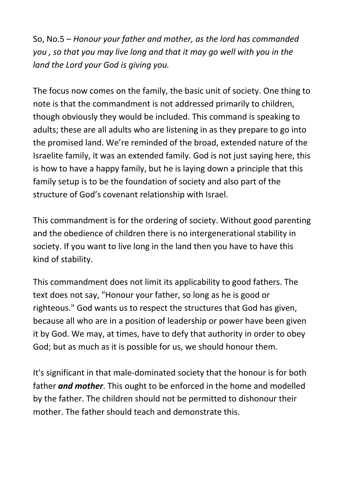So, No.5 – *Honour your father and mother, as the lord has commanded you , so that you may live long and that it may go well with you in the land the Lord your God is giving you.*

The focus now comes on the family, the basic unit of society. One thing to note is that the commandment is not addressed primarily to children, though obviously they would be included. This command is speaking to adults; these are all adults who are listening in as they prepare to go into the promised land. We're reminded of the broad, extended nature of the Israelite family, it was an extended family. God is not just saying here, this is how to have a happy family, but he is laying down a principle that this family setup is to be the foundation of society and also part of the structure of God's covenant relationship with Israel.

This commandment is for the ordering of society. Without good parenting and the obedience of children there is no intergenerational stability in society. If you want to live long in the land then you have to have this kind of stability.

This commandment does not limit its applicability to good fathers. The text does not say, "Honour your father, so long as he is good or righteous." God wants us to respect the structures that God has given, because all who are in a position of leadership or power have been given it by God. We may, at times, have to defy that authority in order to obey God; but as much as it is possible for us, we should honour them.

It's significant in that male-dominated society that the honour is for both father *and mother*. This ought to be enforced in the home and modelled by the father. The children should not be permitted to dishonour their mother. The father should teach and demonstrate this.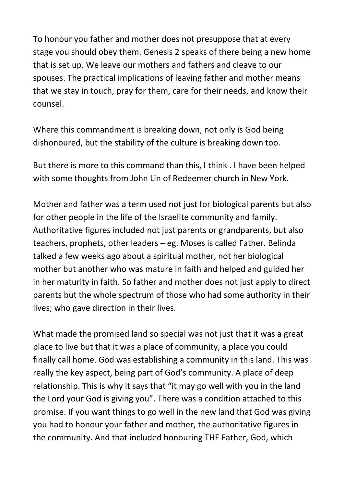To honour you father and mother does not presuppose that at every stage you should obey them. Genesis 2 speaks of there being a new home that is set up. We leave our mothers and fathers and cleave to our spouses. The practical implications of leaving father and mother means that we stay in touch, pray for them, care for their needs, and know their counsel.

Where this commandment is breaking down, not only is God being dishonoured, but the stability of the culture is breaking down too.

But there is more to this command than this, I think . I have been helped with some thoughts from John Lin of Redeemer church in New York.

Mother and father was a term used not just for biological parents but also for other people in the life of the Israelite community and family. Authoritative figures included not just parents or grandparents, but also teachers, prophets, other leaders – eg. Moses is called Father. Belinda talked a few weeks ago about a spiritual mother, not her biological mother but another who was mature in faith and helped and guided her in her maturity in faith. So father and mother does not just apply to direct parents but the whole spectrum of those who had some authority in their lives; who gave direction in their lives.

What made the promised land so special was not just that it was a great place to live but that it was a place of community, a place you could finally call home. God was establishing a community in this land. This was really the key aspect, being part of God's community. A place of deep relationship. This is why it says that "it may go well with you in the land the Lord your God is giving you". There was a condition attached to this promise. If you want things to go well in the new land that God was giving you had to honour your father and mother, the authoritative figures in the community. And that included honouring THE Father, God, which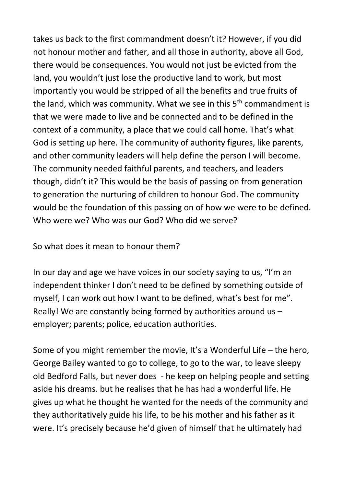takes us back to the first commandment doesn't it? However, if you did not honour mother and father, and all those in authority, above all God, there would be consequences. You would not just be evicted from the land, you wouldn't just lose the productive land to work, but most importantly you would be stripped of all the benefits and true fruits of the land, which was community. What we see in this  $5<sup>th</sup>$  commandment is that we were made to live and be connected and to be defined in the context of a community, a place that we could call home. That's what God is setting up here. The community of authority figures, like parents, and other community leaders will help define the person I will become. The community needed faithful parents, and teachers, and leaders though, didn't it? This would be the basis of passing on from generation to generation the nurturing of children to honour God. The community would be the foundation of this passing on of how we were to be defined. Who were we? Who was our God? Who did we serve?

So what does it mean to honour them?

In our day and age we have voices in our society saying to us, "I'm an independent thinker I don't need to be defined by something outside of myself, I can work out how I want to be defined, what's best for me". Really! We are constantly being formed by authorities around us – employer; parents; police, education authorities.

Some of you might remember the movie, It's a Wonderful Life – the hero, George Bailey wanted to go to college, to go to the war, to leave sleepy old Bedford Falls, but never does - he keep on helping people and setting aside his dreams. but he realises that he has had a wonderful life. He gives up what he thought he wanted for the needs of the community and they authoritatively guide his life, to be his mother and his father as it were. It's precisely because he'd given of himself that he ultimately had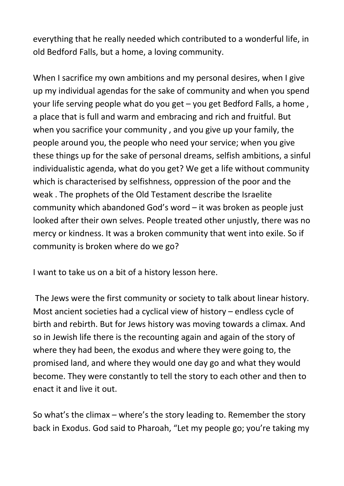everything that he really needed which contributed to a wonderful life, in old Bedford Falls, but a home, a loving community.

When I sacrifice my own ambitions and my personal desires, when I give up my individual agendas for the sake of community and when you spend your life serving people what do you get – you get Bedford Falls, a home , a place that is full and warm and embracing and rich and fruitful. But when you sacrifice your community , and you give up your family, the people around you, the people who need your service; when you give these things up for the sake of personal dreams, selfish ambitions, a sinful individualistic agenda, what do you get? We get a life without community which is characterised by selfishness, oppression of the poor and the weak . The prophets of the Old Testament describe the Israelite community which abandoned God's word – it was broken as people just looked after their own selves. People treated other unjustly, there was no mercy or kindness. It was a broken community that went into exile. So if community is broken where do we go?

I want to take us on a bit of a history lesson here.

The Jews were the first community or society to talk about linear history. Most ancient societies had a cyclical view of history – endless cycle of birth and rebirth. But for Jews history was moving towards a climax. And so in Jewish life there is the recounting again and again of the story of where they had been, the exodus and where they were going to, the promised land, and where they would one day go and what they would become. They were constantly to tell the story to each other and then to enact it and live it out.

So what's the climax – where's the story leading to. Remember the story back in Exodus. God said to Pharoah, "Let my people go; you're taking my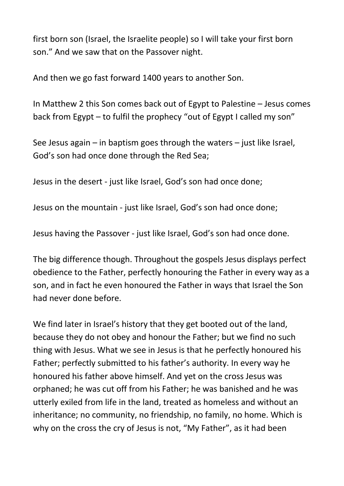first born son (Israel, the Israelite people) so I will take your first born son." And we saw that on the Passover night.

And then we go fast forward 1400 years to another Son.

In Matthew 2 this Son comes back out of Egypt to Palestine – Jesus comes back from Egypt – to fulfil the prophecy "out of Egypt I called my son"

See Jesus again – in baptism goes through the waters – just like Israel, God's son had once done through the Red Sea;

Jesus in the desert - just like Israel, God's son had once done;

Jesus on the mountain - just like Israel, God's son had once done;

Jesus having the Passover - just like Israel, God's son had once done.

The big difference though. Throughout the gospels Jesus displays perfect obedience to the Father, perfectly honouring the Father in every way as a son, and in fact he even honoured the Father in ways that Israel the Son had never done before.

We find later in Israel's history that they get booted out of the land, because they do not obey and honour the Father; but we find no such thing with Jesus. What we see in Jesus is that he perfectly honoured his Father; perfectly submitted to his father's authority. In every way he honoured his father above himself. And yet on the cross Jesus was orphaned; he was cut off from his Father; he was banished and he was utterly exiled from life in the land, treated as homeless and without an inheritance; no community, no friendship, no family, no home. Which is why on the cross the cry of Jesus is not, "My Father", as it had been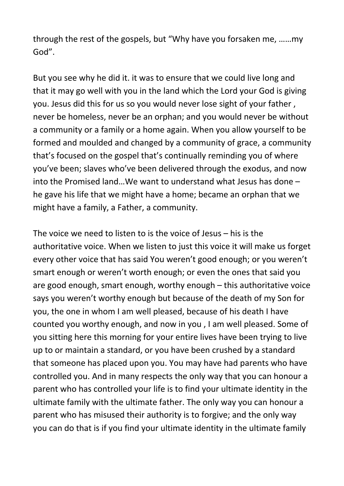through the rest of the gospels, but "Why have you forsaken me, ……my God".

But you see why he did it. it was to ensure that we could live long and that it may go well with you in the land which the Lord your God is giving you. Jesus did this for us so you would never lose sight of your father , never be homeless, never be an orphan; and you would never be without a community or a family or a home again. When you allow yourself to be formed and moulded and changed by a community of grace, a community that's focused on the gospel that's continually reminding you of where you've been; slaves who've been delivered through the exodus, and now into the Promised land…We want to understand what Jesus has done – he gave his life that we might have a home; became an orphan that we might have a family, a Father, a community.

The voice we need to listen to is the voice of Jesus – his is the authoritative voice. When we listen to just this voice it will make us forget every other voice that has said You weren't good enough; or you weren't smart enough or weren't worth enough; or even the ones that said you are good enough, smart enough, worthy enough – this authoritative voice says you weren't worthy enough but because of the death of my Son for you, the one in whom I am well pleased, because of his death I have counted you worthy enough, and now in you , I am well pleased. Some of you sitting here this morning for your entire lives have been trying to live up to or maintain a standard, or you have been crushed by a standard that someone has placed upon you. You may have had parents who have controlled you. And in many respects the only way that you can honour a parent who has controlled your life is to find your ultimate identity in the ultimate family with the ultimate father. The only way you can honour a parent who has misused their authority is to forgive; and the only way you can do that is if you find your ultimate identity in the ultimate family